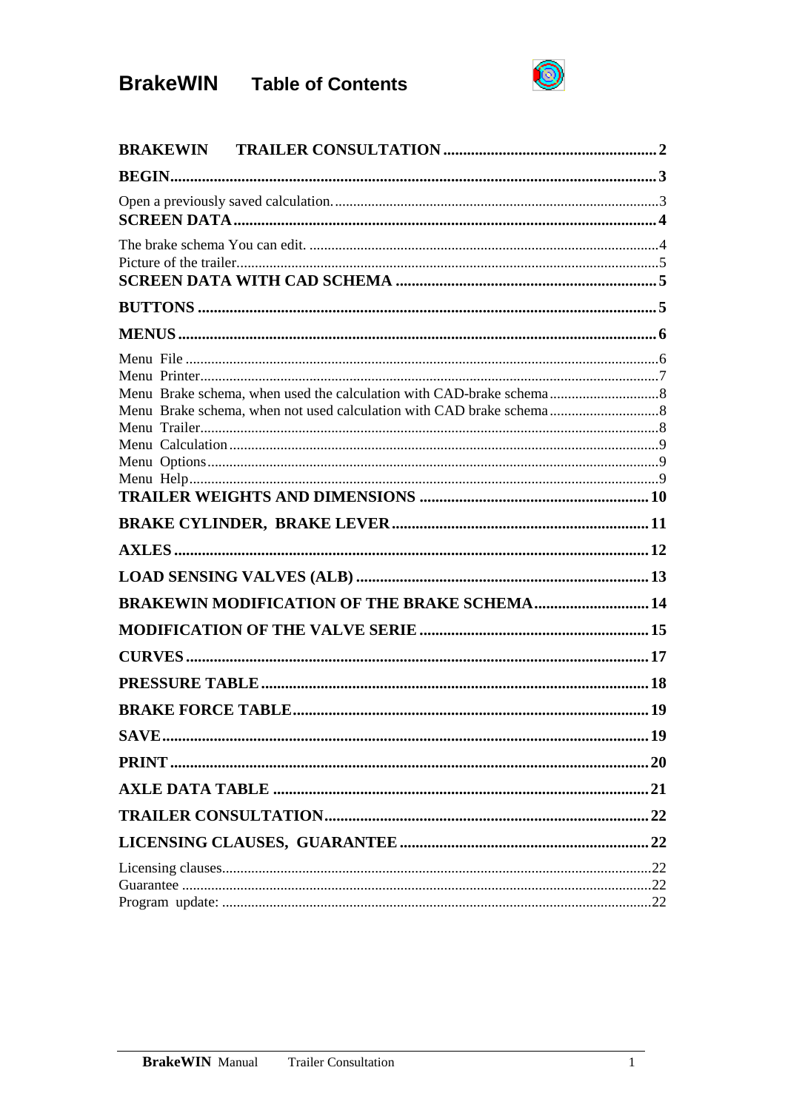# **BrakeWIN** Table of Contents



| <b>BRAKEWIN MODIFICATION OF THE BRAKE SCHEMA 14</b> |  |
|-----------------------------------------------------|--|
|                                                     |  |
|                                                     |  |
|                                                     |  |
|                                                     |  |
|                                                     |  |
|                                                     |  |
|                                                     |  |
|                                                     |  |
|                                                     |  |
|                                                     |  |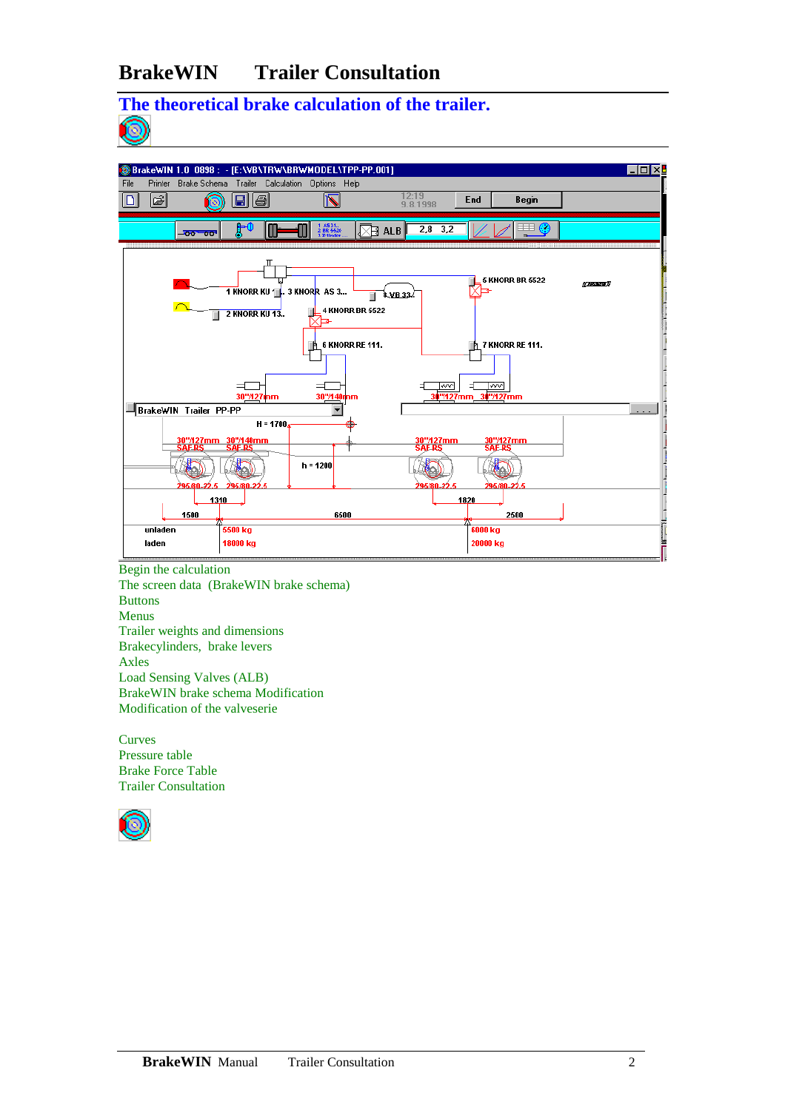### **BrakeWIN Trailer Consultation**

# **The theoretical brake calculation of the trailer.**



Begin the calculation The screen data (BrakeWIN brake schema) Buttons Menus Trailer weights and dimensions Brakecylinders, brake levers Axles Load Sensing Valves (ALB) BrakeWIN brake schema Modification Modification of the valveserie

Curves Pressure table Brake Force Table Trailer Consultation

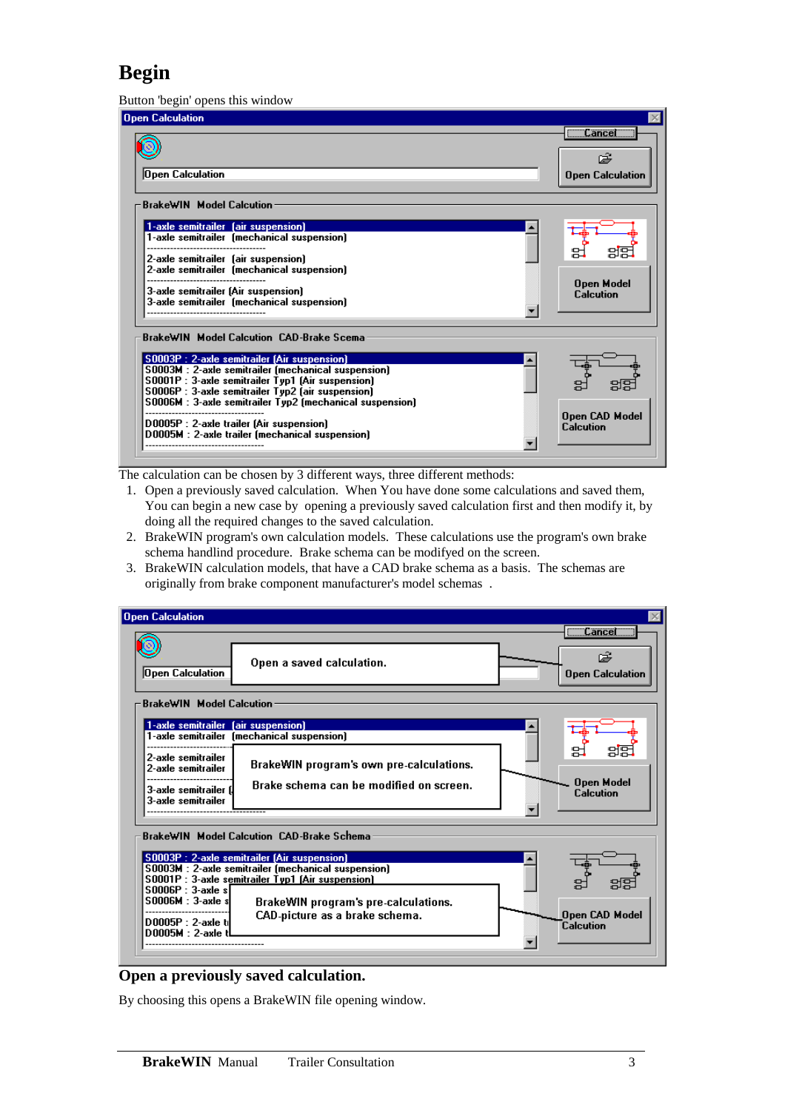# **Begin**

Button 'begin' opens this window

| $\alpha$ control $\alpha$ opens and window                                                                                                                                                                                                                                                                                                                                                                                  |                                               |
|-----------------------------------------------------------------------------------------------------------------------------------------------------------------------------------------------------------------------------------------------------------------------------------------------------------------------------------------------------------------------------------------------------------------------------|-----------------------------------------------|
| Jpen Calculation                                                                                                                                                                                                                                                                                                                                                                                                            |                                               |
| Open Calculation                                                                                                                                                                                                                                                                                                                                                                                                            | $\Box$ Cancel $\Box$<br>œ<br>Open Calculation |
| -BrakeWIN Model Calcution-<br>1-axle semitrailer (air suspension)<br>1-axle semitrailer (mechanical suspension)<br>2-axle semitrailer (air suspension)<br>2-axle semitrailer (mechanical suspension)<br>3-axle semitrailer (Air suspension)<br>3-axle semitrailer (mechanical suspension)                                                                                                                                   | <b>Open Model</b><br><b>Calcution</b>         |
| <b>BrakeWIN Model Calcution CAD-Brake Scema</b><br>S0003P : 2-axle semitrailer (Air suspension)<br>S0003M : 2-axle semitrailer (mechanical suspension)<br>S0001P : 3-axle semitrailer Typ1 (Air suspension)<br>S0006P : 3-axle semitrailer Typ2 (air suspension)<br>S0006M : 3-axle semitrailer Typ2 (mechanical suspension)<br>D0005P : 2-axle trailer (Air suspension)<br>D0005M : 2-axle trailer (mechanical suspension) | Open CAD Model<br>Calcution                   |

The calculation can be chosen by 3 different ways, three different methods:

- 1. Open a previously saved calculation. When You have done some calculations and saved them, You can begin a new case by opening a previously saved calculation first and then modify it, by doing all the required changes to the saved calculation.
- 2. BrakeWIN program's own calculation models. These calculations use the program's own brake schema handlind procedure. Brake schema can be modifyed on the screen.
- 3. BrakeWIN calculation models, that have a CAD brake schema as a basis. The schemas are originally from brake component manufacturer's model schemas .

| <b>Open Calculation</b>                                                                                                                                                                                                                                                                                                                                                       |                                                                                          |
|-------------------------------------------------------------------------------------------------------------------------------------------------------------------------------------------------------------------------------------------------------------------------------------------------------------------------------------------------------------------------------|------------------------------------------------------------------------------------------|
| Open a saved calculation.<br>Open Calculation                                                                                                                                                                                                                                                                                                                                 | $\overline{\phantom{a}}$ Cancel $\overline{\phantom{a}}$<br>œ<br><b>Open Calculation</b> |
| <b>BrakeWIN</b> Model Calcution                                                                                                                                                                                                                                                                                                                                               |                                                                                          |
| 1-axle semitrailer (air suspension)<br>1-axle semitrailer (mechanical suspension)<br>2-axle semitrailer<br>BrakeWIN program's own pre-calculations.<br>2-axle semitrailer<br>Brake schema can be modified on screen.<br>3-axle semitrailer f<br><b>3-axle semitrailer</b>                                                                                                     | <b>Open Model</b><br><b>Calcution</b>                                                    |
| BrakeWIN Model Calcution CAD-Brake Schema<br>S0003P : 2-axle semitrailer (Air suspension)<br>S0003M : 2-axle semitrailer (mechanical suspension)<br>S0001P : 3-axle semitrailer Typ1 [Air suspension]<br>$$0006P : 3$ -axle s<br><b>S0006M</b> : 3-axle sl<br>BrakeWIN program's pre-calculations.<br>CAD-picture as a brake schema.<br>D0005P: 2-axle ti<br>D0005M: 2-axle t | <b>Open CAD Model</b><br>Calcution                                                       |

#### **Open a previously saved calculation.**

By choosing this opens a BrakeWIN file opening window.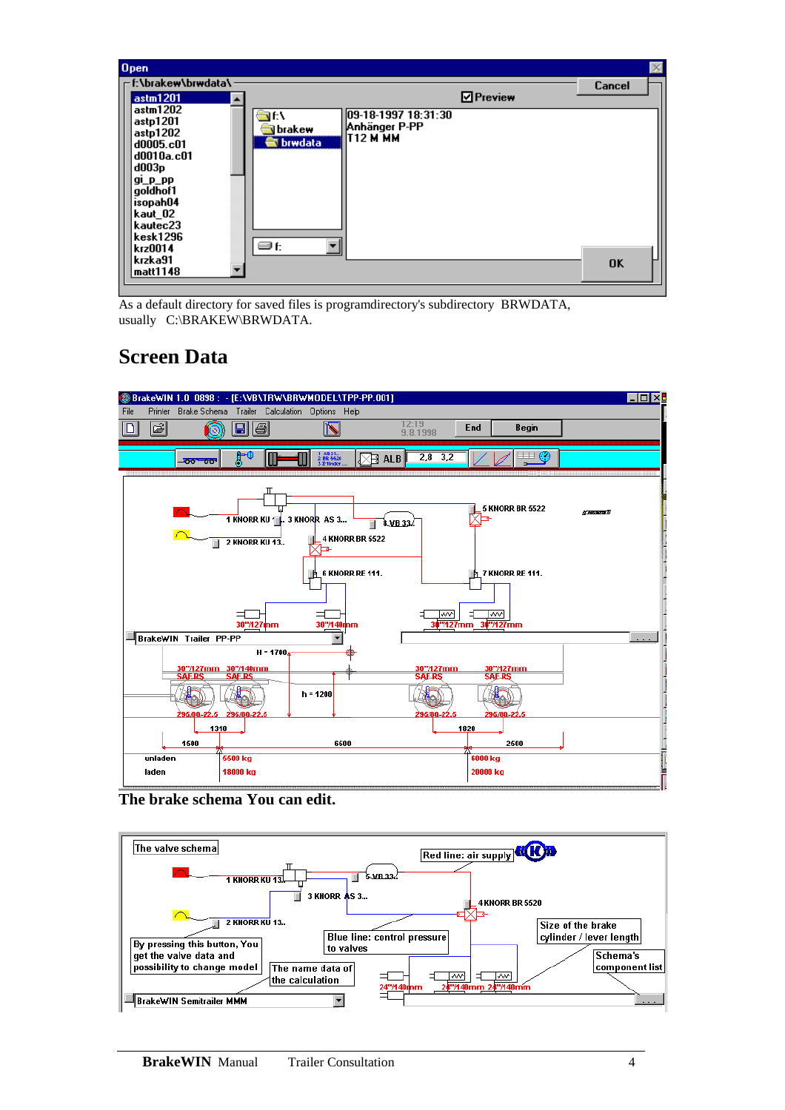

As a default directory for saved files is programdirectory's subdirectory BRWDATA, usually C:\BRAKEW\BRWDATA.

## **Screen Data**



**The brake schema You can edit.** 

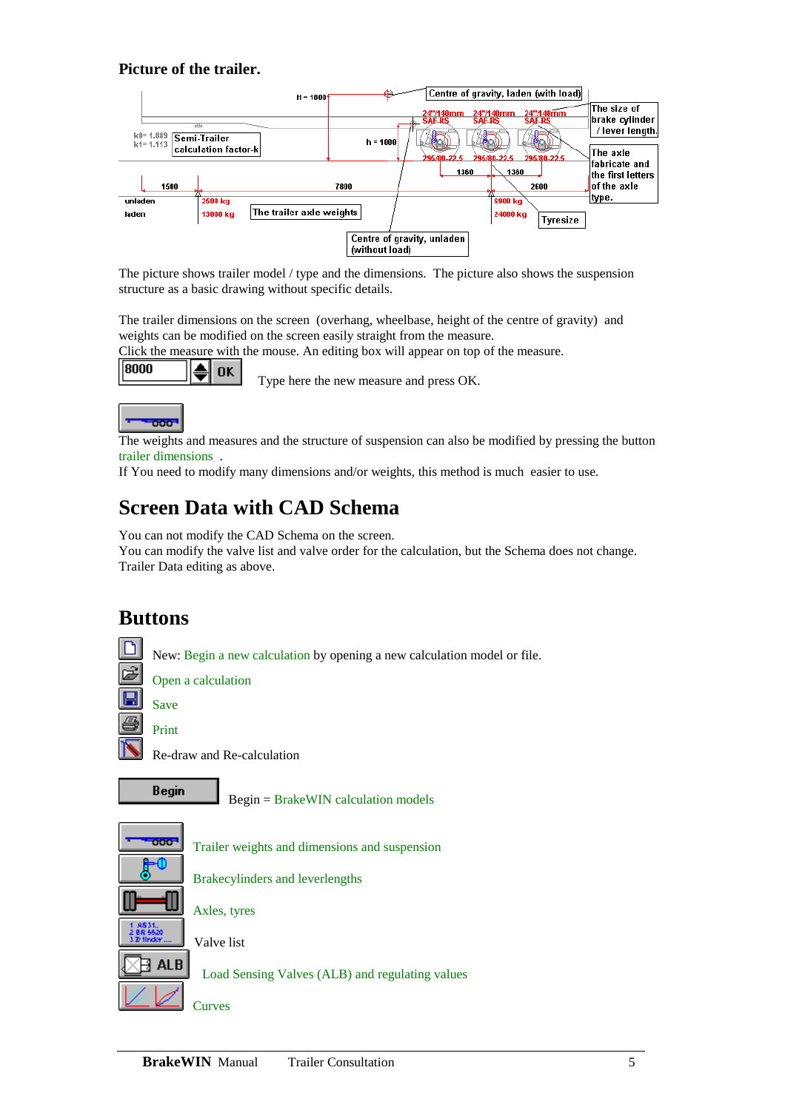#### **Picture of the trailer.**



The picture shows trailer model / type and the dimensions. The picture also shows the suspension structure as a basic drawing without specific details.

The trailer dimensions on the screen (overhang, wheelbase, height of the centre of gravity) and weights can be modified on the screen easily straight from the measure.

Click the measure with the mouse. An editing box will appear on top of the measure.

#### 8000 **OK**

Type here the new measure and press OK.



The weights and measures and the structure of suspension can also be modified by pressing the button trailer dimensions .

If You need to modify many dimensions and/or weights, this method is much easier to use.

## **Screen Data with CAD Schema**

You can not modify the CAD Schema on the screen.

You can modify the valve list and valve order for the calculation, but the Schema does not change. Trailer Data editing as above.

### **Buttons**

New: Begin a new calculation by opening a new calculation model or file.

Open a calculation Save

Print

Re-draw and Re-calculation

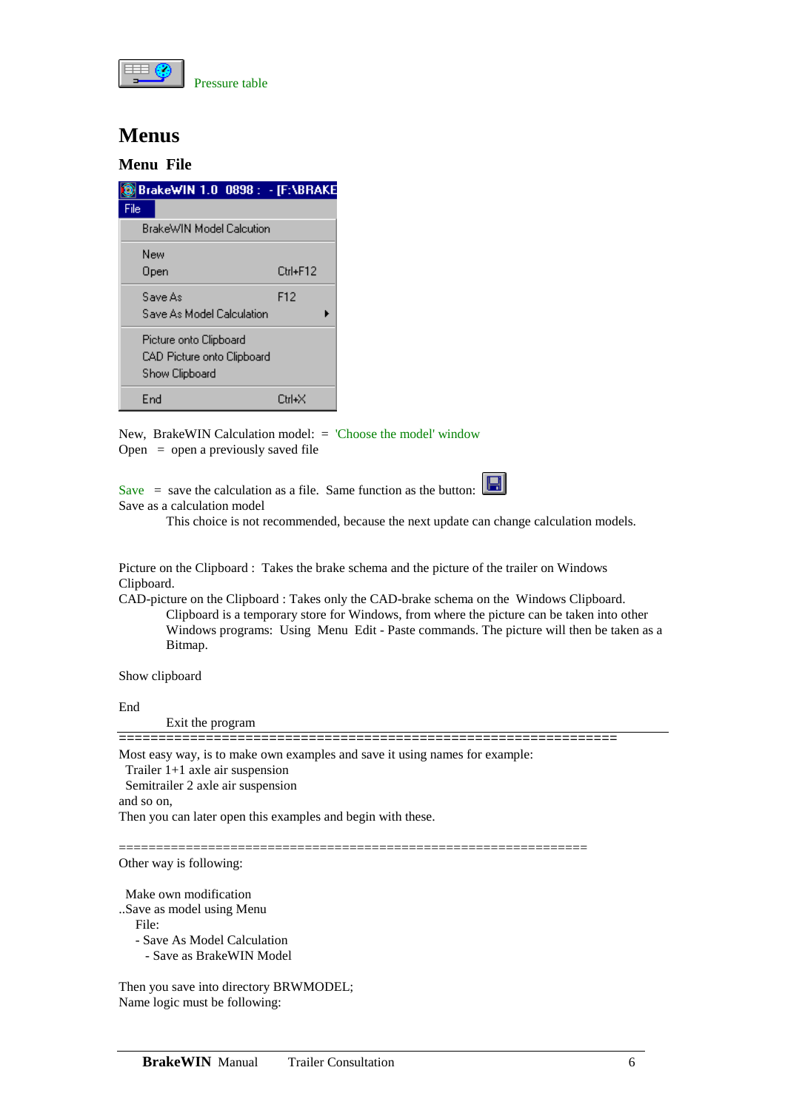

#### **Menus**

#### **Menu File**

|      | BrakeWIN 1.0 0898 : - [F:\BRAKE |          |  |
|------|---------------------------------|----------|--|
| File |                                 |          |  |
|      | BrakeWIN Model Calcution        |          |  |
| New  |                                 |          |  |
|      | Open                            | Ctrl+F12 |  |
|      | Save As                         | F12      |  |
|      | Save As Model Calculation       |          |  |
|      | Picture onto Clipboard          |          |  |
|      | CAD Picture onto Clipboard      |          |  |
|      | Show Clipboard                  |          |  |
| End  |                                 | Ctrl+X   |  |

New, BrakeWIN Calculation model: = 'Choose the model' window Open  $=$  open a previously saved file

Save = save the calculation as a file. Same function as the button:  $\Box$ Save as a calculation model

This choice is not recommended, because the next update can change calculation models.

Picture on the Clipboard : Takes the brake schema and the picture of the trailer on Windows Clipboard.

CAD-picture on the Clipboard : Takes only the CAD-brake schema on the Windows Clipboard. Clipboard is a temporary store for Windows, from where the picture can be taken into other Windows programs: Using Menu Edit - Paste commands. The picture will then be taken as a Bitmap.

Show clipboard

End

Exit the program

===============================================================

Most easy way, is to make own examples and save it using names for example:

Trailer 1+1 axle air suspension

Semitrailer 2 axle air suspension

and so on,

Then you can later open this examples and begin with these.

===============================================================

Other way is following:

 Make own modification ..Save as model using Menu

File:

- Save As Model Calculation
	- Save as BrakeWIN Model

Then you save into directory BRWMODEL; Name logic must be following: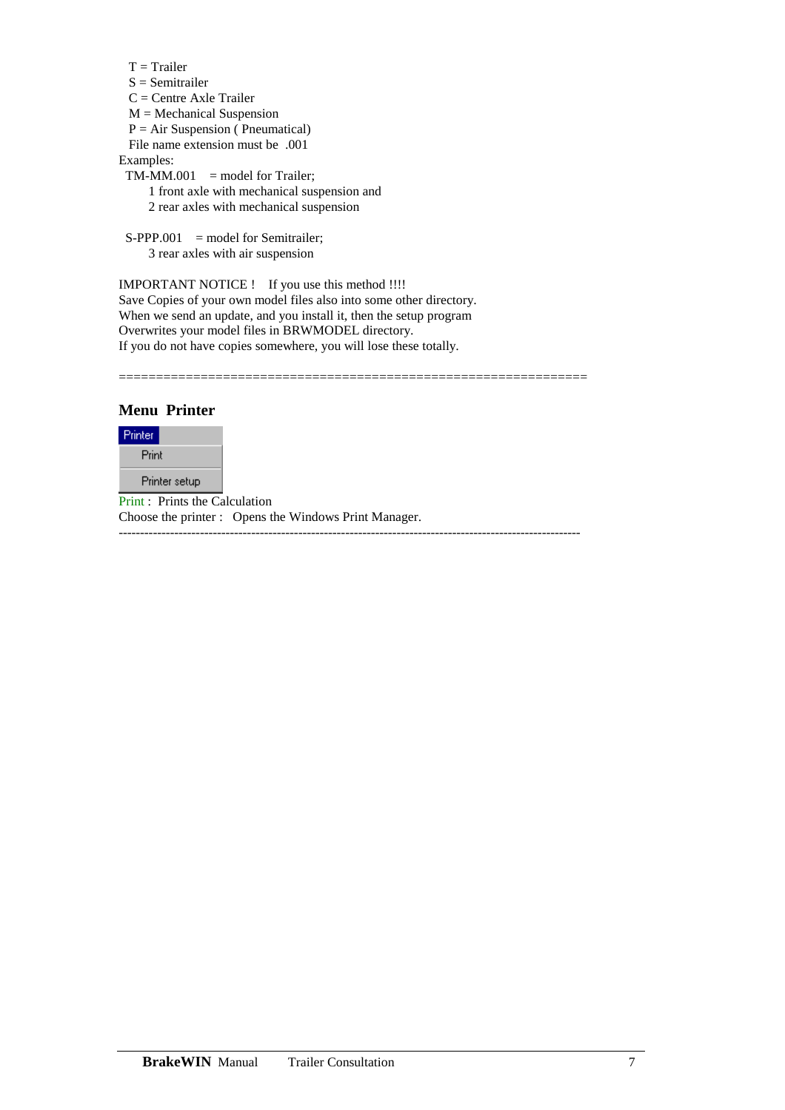```
T = TrailerS = Semitrailer
  C = Centre Axle Trailer 
 M = \text{Mechanical Suspension}P = Air Suspension (Pneumatical)
  File name extension must be .001 
Examples: 
 TM-MM.001 = model for Trailer;
      1 front axle with mechanical suspension and 
      2 rear axles with mechanical suspension
```
 $S-PPP.001 = model for Semitrailer;$ 3 rear axles with air suspension

IMPORTANT NOTICE ! If you use this method !!!! Save Copies of your own model files also into some other directory. When we send an update, and you install it, then the setup program Overwrites your model files in BRWMODEL directory. If you do not have copies somewhere, you will lose these totally.

===============================================================

**Menu Printer** 



Print : Prints the Calculation Choose the printer : Opens the Windows Print Manager. ------------------------------------------------------------------------------------------------------------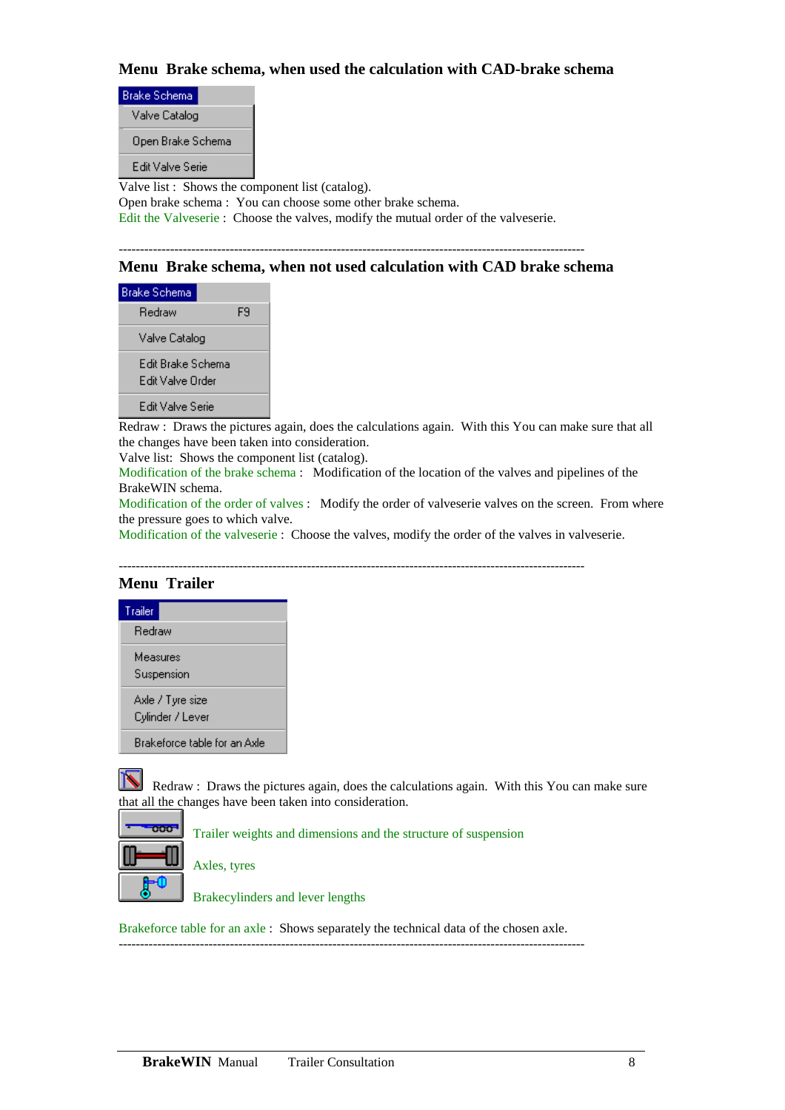#### **Menu Brake schema, when used the calculation with CAD-brake schema**

| <b>Brake Schema</b>                             |                                                             |  |
|-------------------------------------------------|-------------------------------------------------------------|--|
| Valve Catalog                                   |                                                             |  |
| Open Brake Schema                               |                                                             |  |
| Edit Valve Serie                                |                                                             |  |
| Valve list: Shows the component list (catalog). |                                                             |  |
|                                                 | Open brake schema : You can choose some other brake schema. |  |
|                                                 |                                                             |  |

Edit the Valveserie : Choose the valves, modify the mutual order of the valveserie.

#### -------------------------------------------------------------------------------------------------------------

#### **Menu Brake schema, when not used calculation with CAD brake schema**

| Brake Schema                          |    |
|---------------------------------------|----|
| Redraw                                | FЯ |
| Valve Catalog                         |    |
| Edit Brake Schema<br>Edit Valve Order |    |
| Edit Valve Serie                      |    |

Redraw : Draws the pictures again, does the calculations again. With this You can make sure that all the changes have been taken into consideration.

Valve list: Shows the component list (catalog).

Modification of the brake schema : Modification of the location of the valves and pipelines of the BrakeWIN schema.

Modification of the order of valves : Modify the order of valveserie valves on the screen. From where the pressure goes to which valve.

Modification of the valveserie : Choose the valves, modify the order of the valves in valveserie.

-------------------------------------------------------------------------------------------------------------

#### **Menu Trailer**



Redraw : Draws the pictures again, does the calculations again. With this You can make sure that all the changes have been taken into consideration.

| ٠<br>o<br>т |  |
|-------------|--|
|             |  |
|             |  |

Trailer weights and dimensions and the structure of suspension

Axles, tyres

Brakecylinders and lever lengths

Brakeforce table for an axle : Shows separately the technical data of the chosen axle. -------------------------------------------------------------------------------------------------------------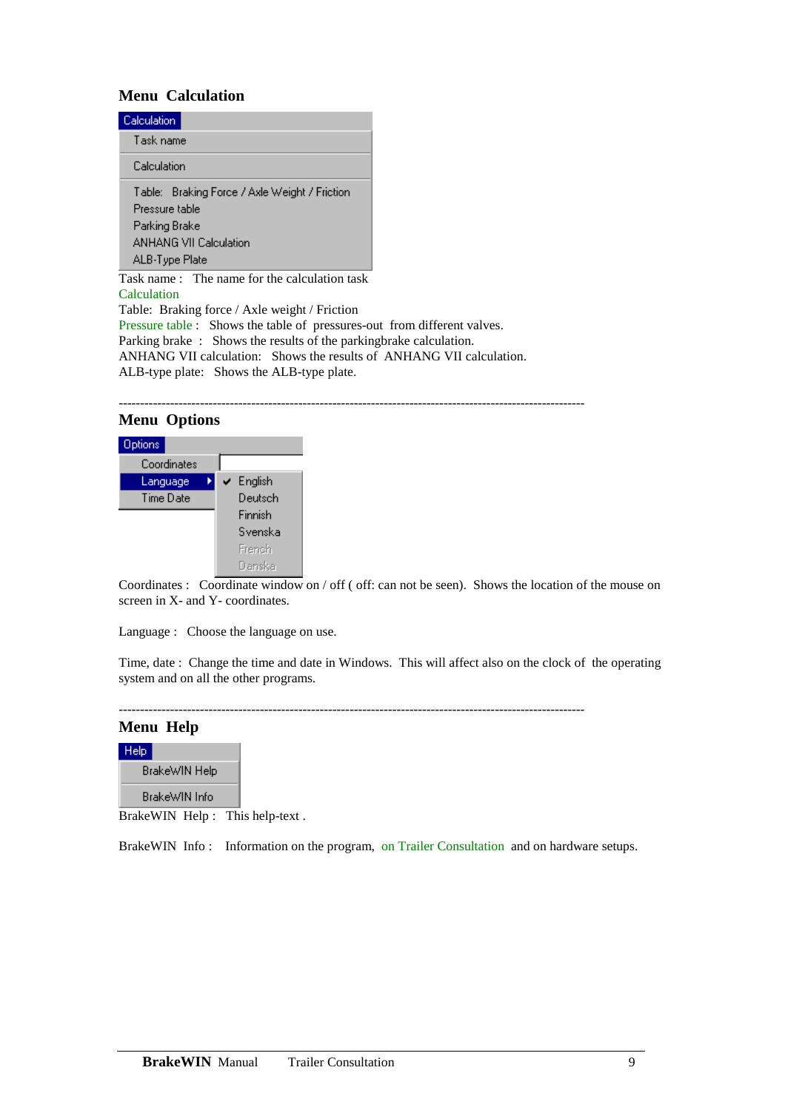#### **Menu Calculation**

| Calculation                                                                                                                  |
|------------------------------------------------------------------------------------------------------------------------------|
| Task name                                                                                                                    |
| Calculation                                                                                                                  |
| Table: Braking Force / Axle Weight / Friction<br>Pressure table<br>Parking Brake<br>ANHANG VII Calculation<br>ALB-Type Plate |

Task name : The name for the calculation task Calculation Table: Braking force / Axle weight / Friction Pressure table : Shows the table of pressures-out from different valves. Parking brake : Shows the results of the parkingbrake calculation. ANHANG VII calculation: Shows the results of ANHANG VII calculation. ALB-type plate: Shows the ALB-type plate.

#### ------------------------------------------------------------------------------------------------------------- **Menu Options**



Coordinates : Coordinate window on / off ( off: can not be seen). Shows the location of the mouse on screen in X- and Y- coordinates.

Language : Choose the language on use.

Time, date : Change the time and date in Windows. This will affect also on the clock of the operating system and on all the other programs.

-------------------------------------------------------------------------------------------------------------

#### **Menu Help**



BrakeWIN Help : This help-text .

BrakeWIN Info : Information on the program, on Trailer Consultation and on hardware setups.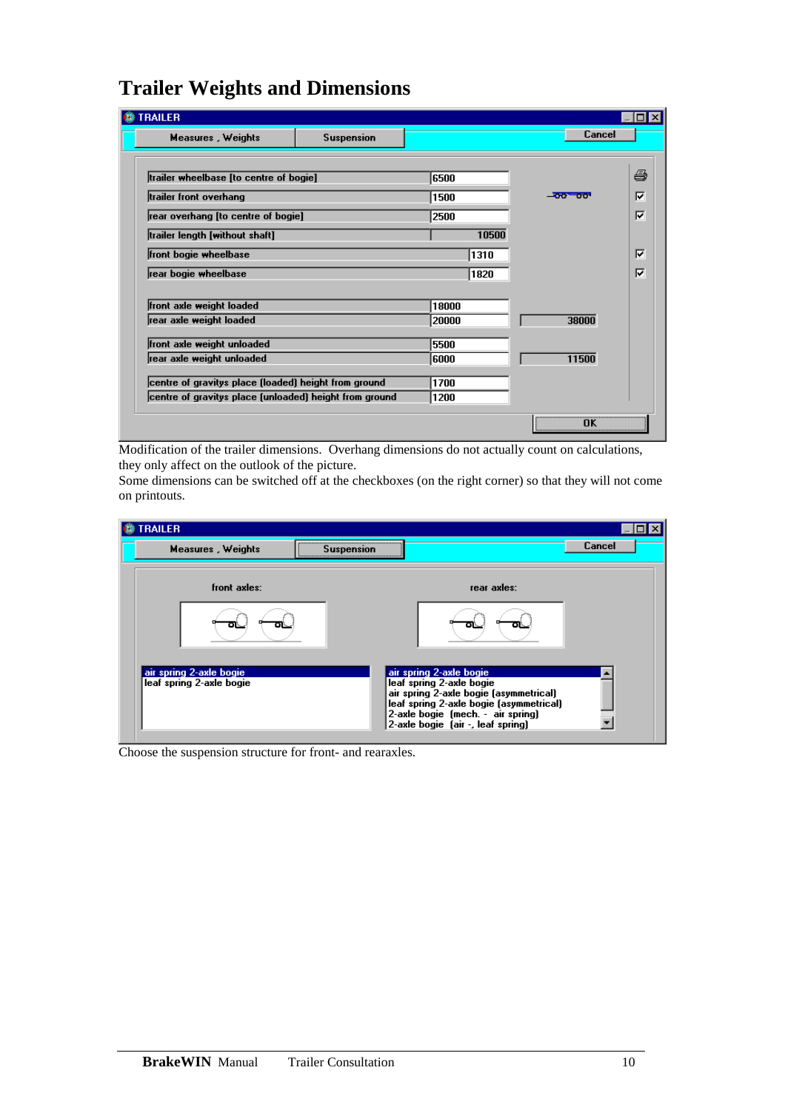# **Trailer Weights and Dimensions**

| <b>TRAILER</b>                                       |                   |       |       |            |    |
|------------------------------------------------------|-------------------|-------|-------|------------|----|
| <b>Measures, Weights</b>                             | <b>Suspension</b> |       |       | Cancel     |    |
|                                                      |                   |       |       |            |    |
| trailer wheelbase [to centre of bogie]               |                   | 6500  |       |            | ê  |
| trailer front overhang                               |                   | 1500  |       | $-00 - 00$ | ঢ় |
| rear overhang [to centre of bogie]                   |                   | 2500  |       |            | ঢ় |
| trailer length [without shaft]                       |                   |       | 10500 |            |    |
| front bogie wheelbase                                |                   |       | 1310  |            | ⊽  |
| rear bogie wheelbase                                 |                   |       | 1820  |            | ঢ় |
|                                                      |                   |       |       |            |    |
| front axle weight loaded                             |                   | 18000 |       |            |    |
| rear axle weight loaded                              |                   | 20000 |       | 38000      |    |
|                                                      |                   |       |       |            |    |
| front axle weight unloaded                           |                   | 5500  |       |            |    |
| rear axle weight unloaded                            |                   | 6000  |       | 11500      |    |
| centre of gravitys place (loaded) height from ground |                   | 1700  |       |            |    |

Modification of the trailer dimensions. Overhang dimensions do not actually count on calculations, they only affect on the outlook of the picture.

Some dimensions can be switched off at the checkboxes (on the right corner) so that they will not come on printouts.

| <b>RAILER</b>                                       |                                                                                                                                                                                                                    |        |
|-----------------------------------------------------|--------------------------------------------------------------------------------------------------------------------------------------------------------------------------------------------------------------------|--------|
| <b>Measures, Weights</b>                            | <b>Suspension</b>                                                                                                                                                                                                  | Cancel |
| front axles:                                        | rear axles:                                                                                                                                                                                                        |        |
|                                                     |                                                                                                                                                                                                                    |        |
| air spring 2-axle bogie<br>leaf spring 2-axle bogie | air spring 2-axle bogie<br>leaf spring 2-axle bogie<br>air spring 2-axle bogie (asymmetrical)<br>leaf spring 2-axle bogie (asymmetrical)<br>2-axle bogie [mech. - air spring]<br>2-axle bogie (air -, leaf spring) |        |

Choose the suspension structure for front- and rearaxles.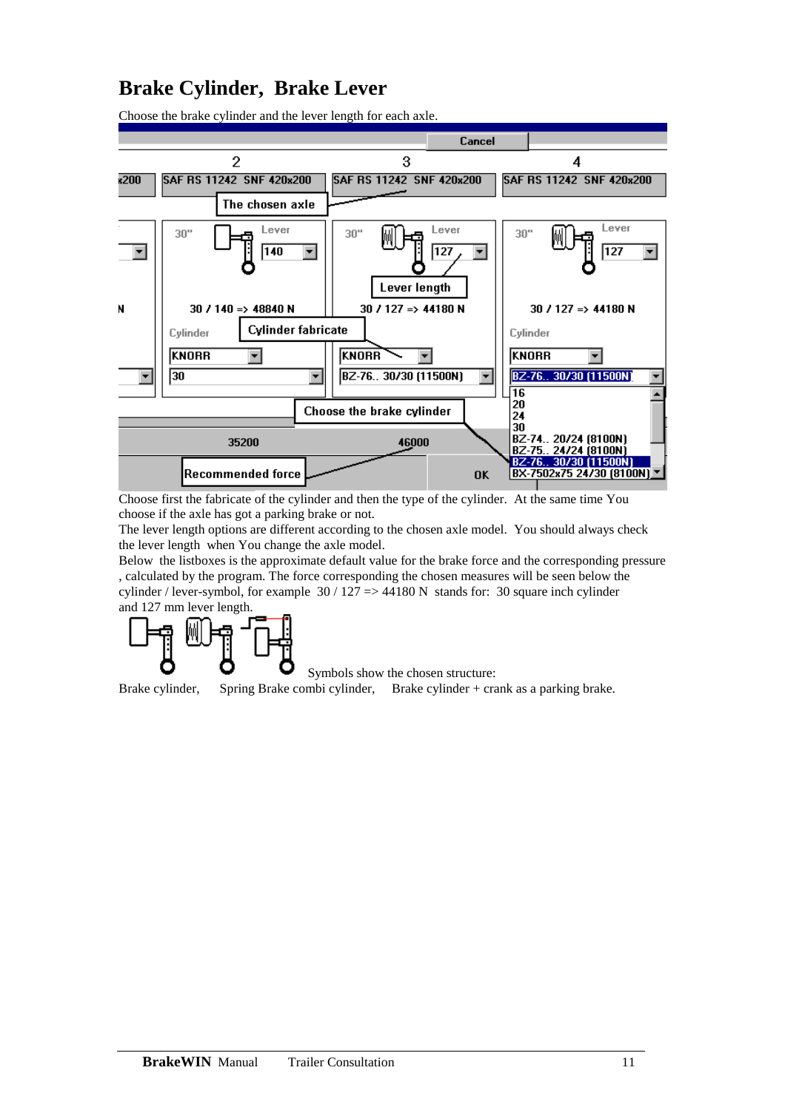## **Brake Cylinder, Brake Lever**



Choose the brake cylinder and the lever length for each axle.

Choose first the fabricate of the cylinder and then the type of the cylinder. At the same time You choose if the axle has got a parking brake or not.

The lever length options are different according to the chosen axle model. You should always check the lever length when You change the axle model.

Below the listboxes is the approximate default value for the brake force and the corresponding pressure , calculated by the program. The force corresponding the chosen measures will be seen below the cylinder / lever-symbol, for example 30 / 127 => 44180 N stands for: 30 square inch cylinder and 127 mm lever length.



Symbols show the chosen structure:

Brake cylinder, Spring Brake combi cylinder, Brake cylinder + crank as a parking brake.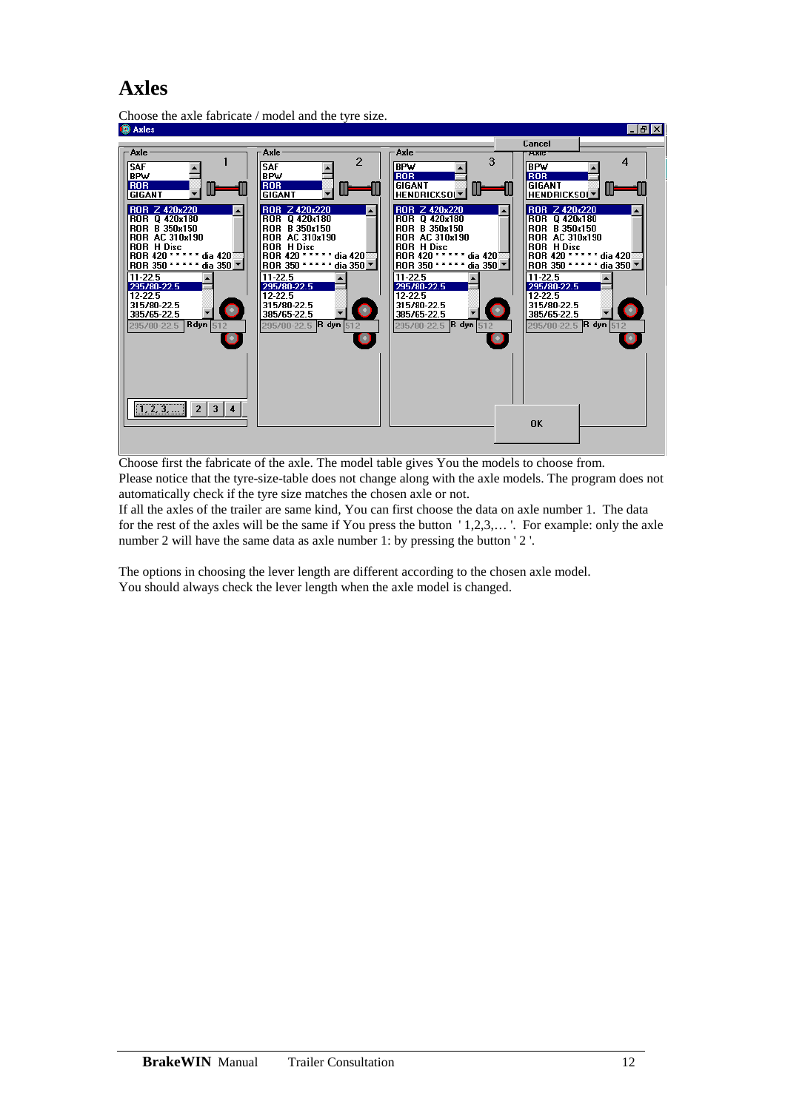### **Axles**



Choose the axle fabricate / model and the tyre size.<br>  $\bullet$  Axles

Choose first the fabricate of the axle. The model table gives You the models to choose from. Please notice that the tyre-size-table does not change along with the axle models. The program does not automatically check if the tyre size matches the chosen axle or not.

If all the axles of the trailer are same kind, You can first choose the data on axle number 1. The data for the rest of the axles will be the same if You press the button ' 1,2,3,… '. For example: only the axle number 2 will have the same data as axle number 1: by pressing the button '2'.

The options in choosing the lever length are different according to the chosen axle model. You should always check the lever length when the axle model is changed.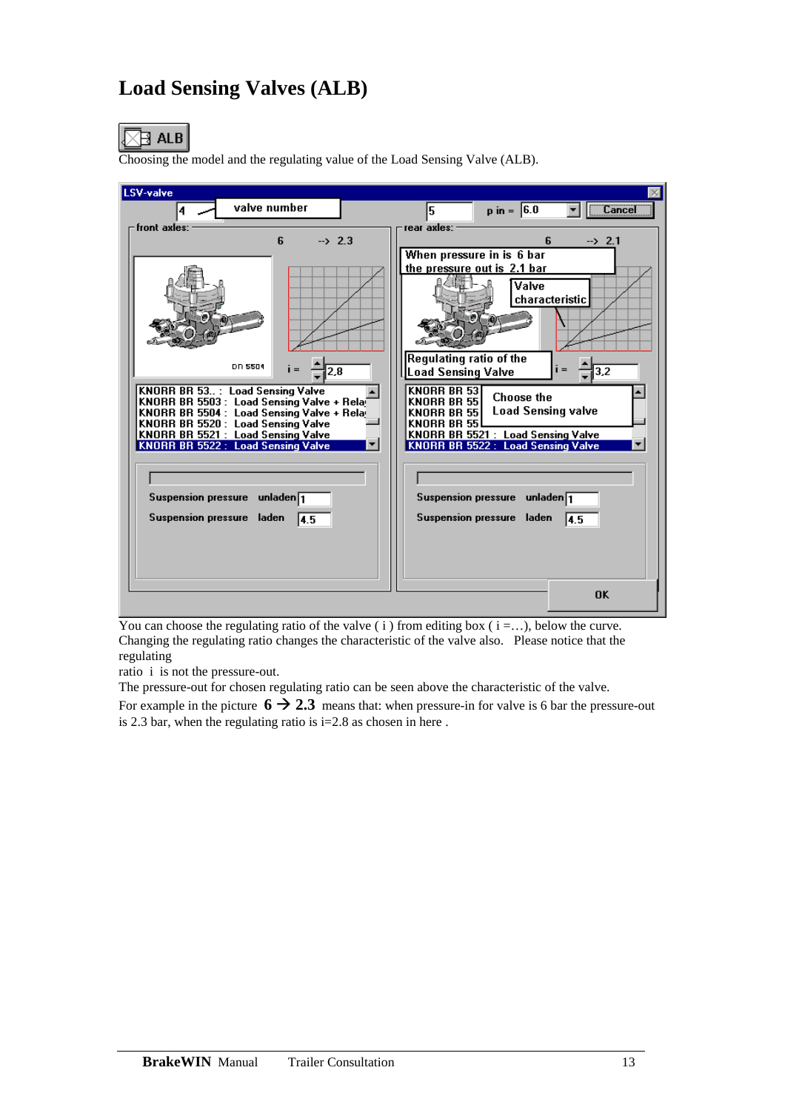# **Load Sensing Valves (ALB)**



Choosing the model and the regulating value of the Load Sensing Valve (ALB).



You can choose the regulating ratio of the valve  $(i)$  from editing box  $(i = ...)$ , below the curve. Changing the regulating ratio changes the characteristic of the valve also. Please notice that the regulating

ratio i is not the pressure-out.

The pressure-out for chosen regulating ratio can be seen above the characteristic of the valve.

For example in the picture  $6 \rightarrow 2.3$  means that: when pressure-in for valve is 6 bar the pressure-out is 2.3 bar, when the regulating ratio is  $i=2.8$  as chosen in here.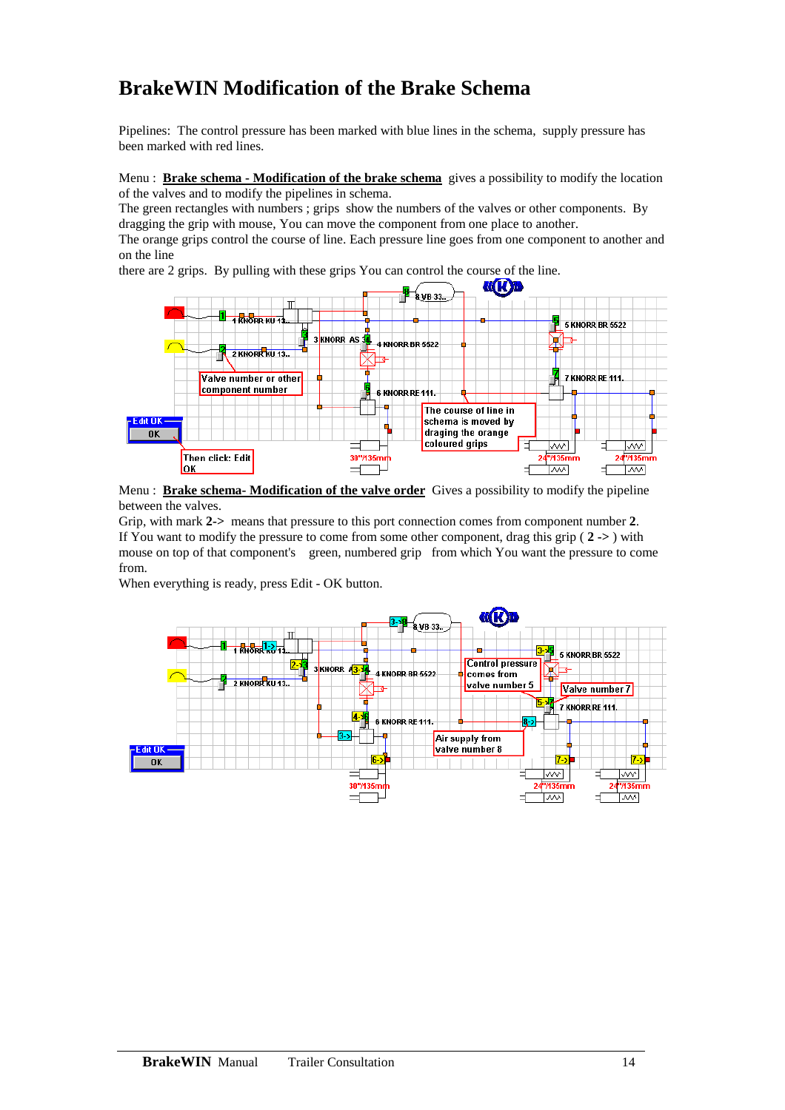# **BrakeWIN Modification of the Brake Schema**

Pipelines: The control pressure has been marked with blue lines in the schema, supply pressure has been marked with red lines.

Menu : **Brake schema - Modification of the brake schema** gives a possibility to modify the location of the valves and to modify the pipelines in schema.

The green rectangles with numbers ; grips show the numbers of the valves or other components. By dragging the grip with mouse, You can move the component from one place to another.

The orange grips control the course of line. Each pressure line goes from one component to another and on the line

there are 2 grips. By pulling with these grips You can control the course of the line.



Menu : **Brake schema- Modification of the valve order** Gives a possibility to modify the pipeline between the valves.

Grip, with mark **2->** means that pressure to this port connection comes from component number **2**. If You want to modify the pressure to come from some other component, drag this grip ( **2 ->** ) with mouse on top of that component's green, numbered grip from which You want the pressure to come from.

When everything is ready, press Edit - OK button.

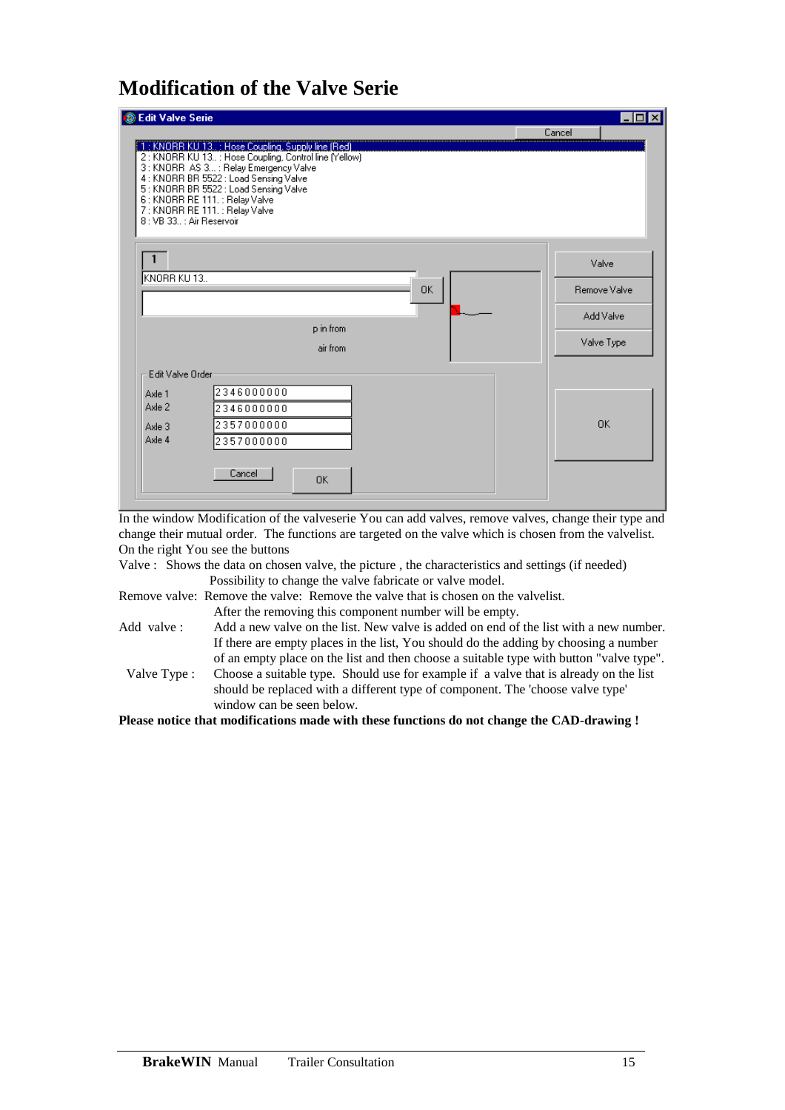# **Modification of the Valve Serie**

| <b>C</b> Edit Valve Serie                                                                                                                                                                                                                                                                                                               | ⊡l×                                              |
|-----------------------------------------------------------------------------------------------------------------------------------------------------------------------------------------------------------------------------------------------------------------------------------------------------------------------------------------|--------------------------------------------------|
| [1: KNORR KU 13.: Hose Coupling, Supply line (Red)<br>2: KNORR KU 13: Hose Coupling, Control line (Yellow)<br>3 : KNORR AS 3 : Relay Emergency Valve<br>4 : KNORR BR 5522 : Load Sensing Valve<br>5: KNORR BR 5522: Load Sensing Valve<br>6 : KNORR RE 111. : Relay Valve<br>7: KNORR RE 111. : Relay Valve<br>8: VB 33.: Air Reservoir | Cancel                                           |
| KNORR KU 13<br><b>OK</b><br>p in from<br>air from                                                                                                                                                                                                                                                                                       | Valve<br>Remove Valve<br>Add Valve<br>Valve Type |
| Edit Valve Order<br>2346000000<br>Axle 1<br>Axle 2<br>2346000000<br>2357000000<br>Axle 3<br>Axle 4<br>2357000000<br>Cancel<br>0K                                                                                                                                                                                                        | <b>OK</b>                                        |

In the window Modification of the valveserie You can add valves, remove valves, change their type and change their mutual order. The functions are targeted on the valve which is chosen from the valvelist. On the right You see the buttons

Valve : Shows the data on chosen valve, the picture , the characteristics and settings (if needed) Possibility to change the valve fabricate or valve model.

Remove valve: Remove the valve: Remove the valve that is chosen on the valvelist.

After the removing this component number will be empty.

Add valve : Add a new valve on the list. New valve is added on end of the list with a new number. If there are empty places in the list, You should do the adding by choosing a number of an empty place on the list and then choose a suitable type with button "valve type". Valve Type : Choose a suitable type. Should use for example if a valve that is already on the list should be replaced with a different type of component. The 'choose valve type' window can be seen below.

**Please notice that modifications made with these functions do not change the CAD-drawing !**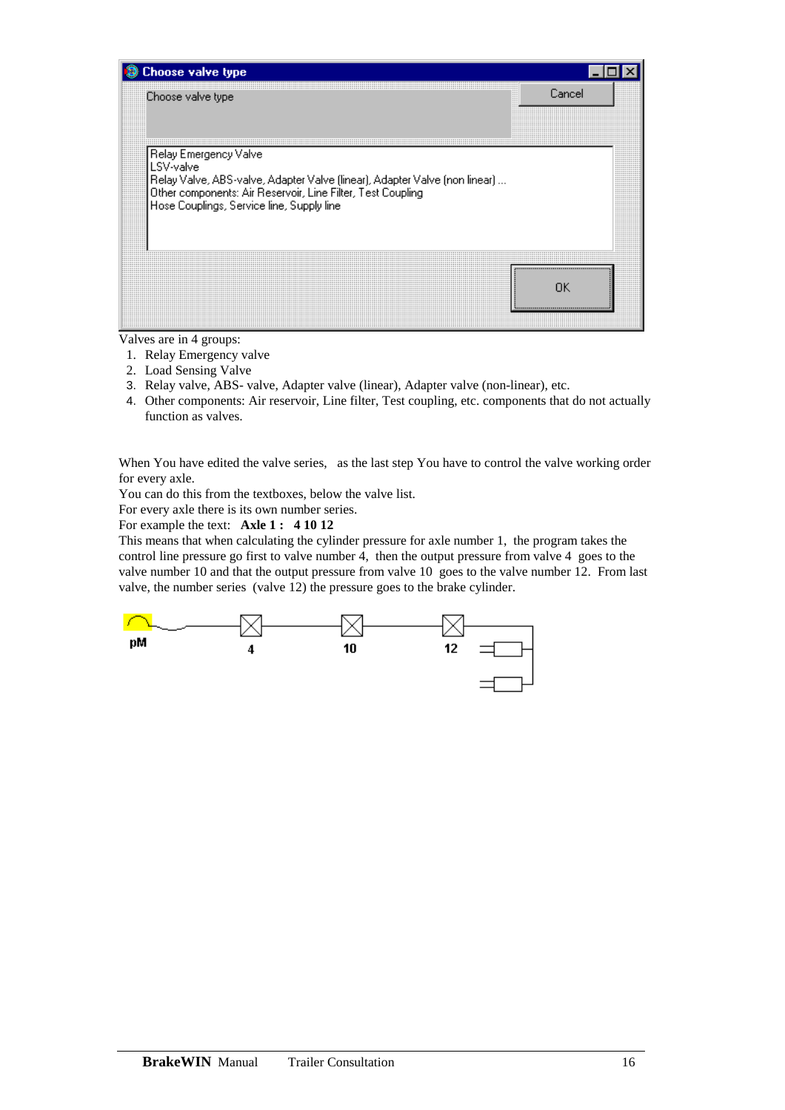

Valves are in 4 groups:

- 1. Relay Emergency valve
- 2. Load Sensing Valve
- 3. Relay valve, ABS- valve, Adapter valve (linear), Adapter valve (non-linear), etc.
- 4. Other components: Air reservoir, Line filter, Test coupling, etc. components that do not actually function as valves.

When You have edited the valve series, as the last step You have to control the valve working order for every axle.

You can do this from the textboxes, below the valve list.

For every axle there is its own number series.

For example the text: **Axle 1 : 4 10 12**

This means that when calculating the cylinder pressure for axle number 1, the program takes the control line pressure go first to valve number 4, then the output pressure from valve 4 goes to the valve number 10 and that the output pressure from valve 10 goes to the valve number 12. From last valve, the number series (valve 12) the pressure goes to the brake cylinder.

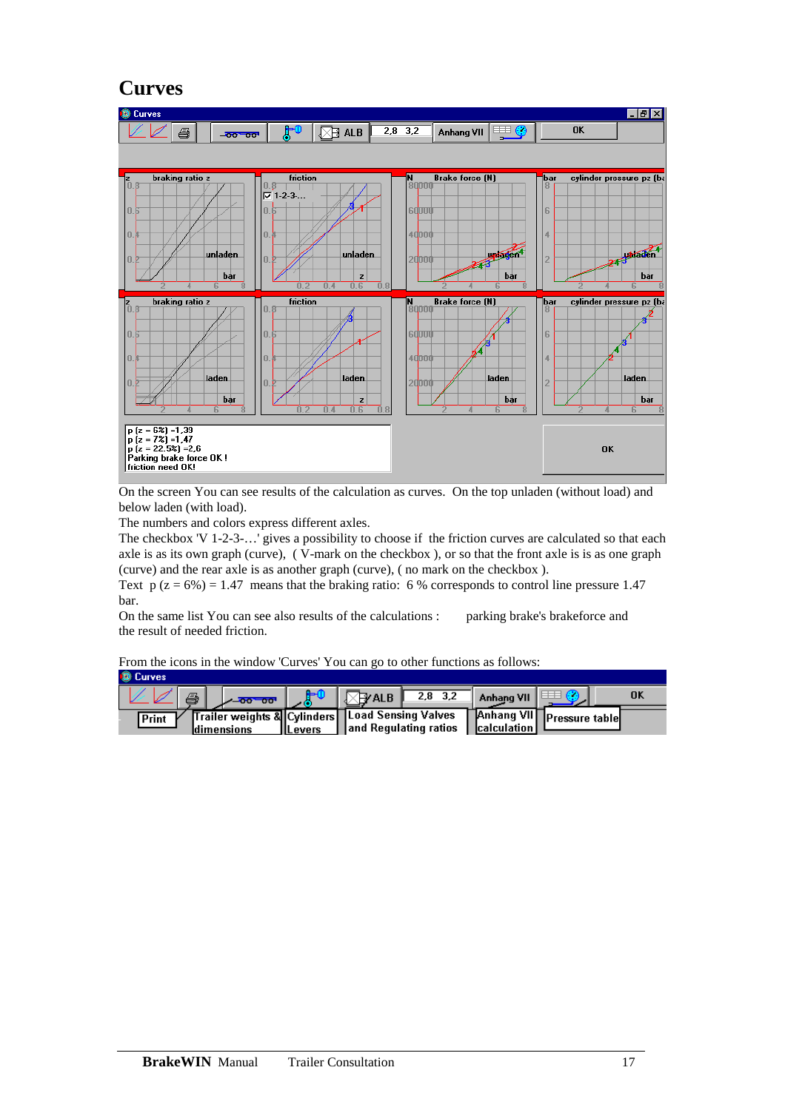### **Curves**



On the screen You can see results of the calculation as curves. On the top unladen (without load) and below laden (with load).

The numbers and colors express different axles.

The checkbox 'V 1-2-3-…' gives a possibility to choose if the friction curves are calculated so that each axle is as its own graph (curve), ( V-mark on the checkbox ), or so that the front axle is is as one graph (curve) and the rear axle is as another graph (curve), ( no mark on the checkbox ).

Text  $p(z = 6\%) = 1.47$  means that the braking ratio: 6 % corresponds to control line pressure 1.47 bar.

On the same list You can see also results of the calculations : parking brake's brakeforce and the result of needed friction.

From the icons in the window 'Curves' You can go to other functions as follows:

| <b>D</b> Curves                                          |                 |                        |           |             |                             |    |
|----------------------------------------------------------|-----------------|------------------------|-----------|-------------|-----------------------------|----|
| ê,<br><b>200 00 00</b>                                   |                 | ∛ ALB⊺                 | $2,8$ 3.2 | Anhang VII  |                             | 0k |
| Trailer weights & Cylinders Load Sensing Valves<br>Print |                 |                        |           |             | J Anhang VII Pressure table |    |
| ldimensions                                              | <b>IILevers</b> | ¶and Regulating ratios |           | calculation |                             |    |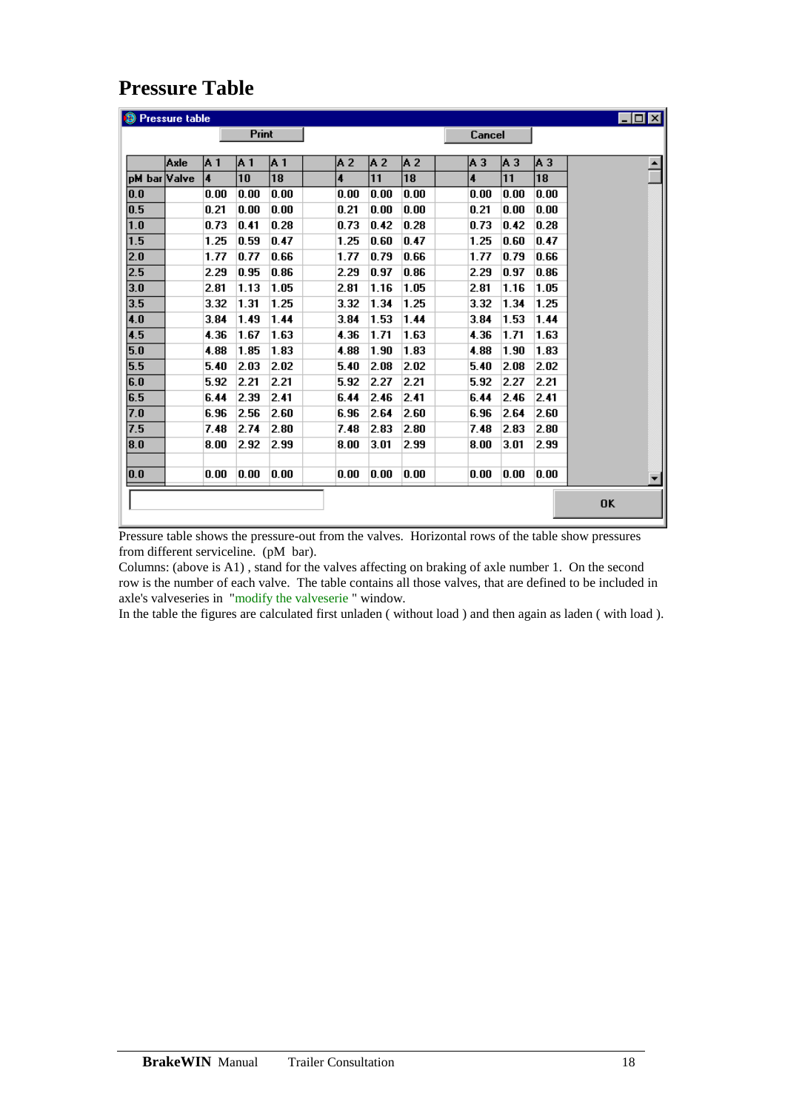### **Pressure Table**

| <sup>3</sup> Pressure table |      |                |              |      |                         |      |      |                         |      |      | $\Box$ o $\boxtimes$ |
|-----------------------------|------|----------------|--------------|------|-------------------------|------|------|-------------------------|------|------|----------------------|
|                             |      |                | <b>Print</b> |      |                         |      |      | Cancel                  |      |      |                      |
|                             |      |                |              |      |                         |      |      |                         |      |      |                      |
|                             | Axle | IA 1           | IA 1         | A 1  | A 2                     | IA 2 | lA 2 | A <sub>3</sub>          | lАЗ  | lАЗ  |                      |
| pM bar Valve                |      | $\overline{4}$ | 10           | 18   | $\overline{\mathbf{4}}$ | 11   | 18   | $\overline{\mathbf{4}}$ | 11   | 18   |                      |
| 0.0                         |      | 0.00           | 0.00         | 0.00 | 0.00                    | 0.00 | 0.00 | 0.00                    | 0.00 | 0.00 |                      |
| 0.5                         |      | 0.21           | 0.00         | 0.00 | 0.21                    | 0.00 | 0.00 | 0.21                    | 0.00 | 0.00 |                      |
| $\overline{1.0}$            |      | 0.73           | 0.41         | 0.28 | 0.73                    | 0.42 | 0.28 | 0.73                    | 0.42 | 0.28 |                      |
| $\overline{1.5}$            |      | 1.25           | 0.59         | 0.47 | 1.25                    | 0.60 | 0.47 | 1.25                    | 0.60 | 0.47 |                      |
| 2.0                         |      | 1.77           | 0.77         | 0.66 | 1.77                    | 0.79 | 0.66 | 1.77                    | 0.79 | 0.66 |                      |
| 2.5                         |      | 2.29           | 0.95         | 0.86 | 2.29                    | 0.97 | 0.86 | 2.29                    | 0.97 | 0.86 |                      |
| 3.0                         |      | 2.81           | 1.13         | 1.05 | 2.81                    | 1.16 | 1.05 | 2.81                    | 1.16 | 1.05 |                      |
| 3.5                         |      | 3.32           | 1.31         | 1.25 | 3.32                    | 1.34 | 1.25 | 3.32                    | 1.34 | 1.25 |                      |
| 4.0                         |      | 3.84           | 1.49         | 1.44 | 3.84                    | 1.53 | 1.44 | 3.84                    | 1.53 | 1.44 |                      |
| 4.5                         |      | 4.36           | 1.67         | 1.63 | 4.36                    | 1.71 | 1.63 | 4.36                    | 1.71 | 1.63 |                      |
| 5.0                         |      | 4.88           | 1.85         | 1.83 | 4.88                    | 1.90 | 1.83 | 4.88                    | 1.90 | 1.83 |                      |
| 5.5                         |      | 5.40           | 2.03         | 2.02 | 5.40                    | 2.08 | 2.02 | 5.40                    | 2.08 | 2.02 |                      |
| 6.0                         |      | 5.92           | 2.21         | 2.21 | 5.92                    | 2.27 | 2.21 | 5.92                    | 2.27 | 2.21 |                      |
| 6.5                         |      | 6.44           | 2.39         | 2.41 | 6.44                    | 2.46 | 2.41 | 6.44                    | 2.46 | 2.41 |                      |
| 7.0                         |      | 6.96           | 2.56         | 2.60 | 6.96                    | 2.64 | 2.60 | 6.96                    | 2.64 | 2.60 |                      |
| 7.5                         |      | 7.48           | 2.74         | 2.80 | 7.48                    | 2.83 | 2.80 | 7.48                    | 2.83 | 2.80 |                      |
| 8.0                         |      | 8.00           | 2.92         | 2.99 | 8.00                    | 3.01 | 2.99 | 8.00                    | 3.01 | 2.99 |                      |
|                             |      |                |              |      |                         |      |      |                         |      |      |                      |
| 0.0                         |      | 0.00           | 0.00         | 0.00 | 0.00                    | 0.00 | 0.00 | 0.00                    | 0.00 | 0.00 |                      |
|                             |      |                |              |      |                         |      |      |                         |      |      |                      |
|                             |      |                |              |      |                         |      |      |                         |      |      | OK                   |
|                             |      |                |              |      |                         |      |      |                         |      |      |                      |

Pressure table shows the pressure-out from the valves. Horizontal rows of the table show pressures from different serviceline. (pM bar).

Columns: (above is A1) , stand for the valves affecting on braking of axle number 1. On the second row is the number of each valve. The table contains all those valves, that are defined to be included in axle's valveseries in "modify the valveserie " window.

In the table the figures are calculated first unladen ( without load ) and then again as laden ( with load ).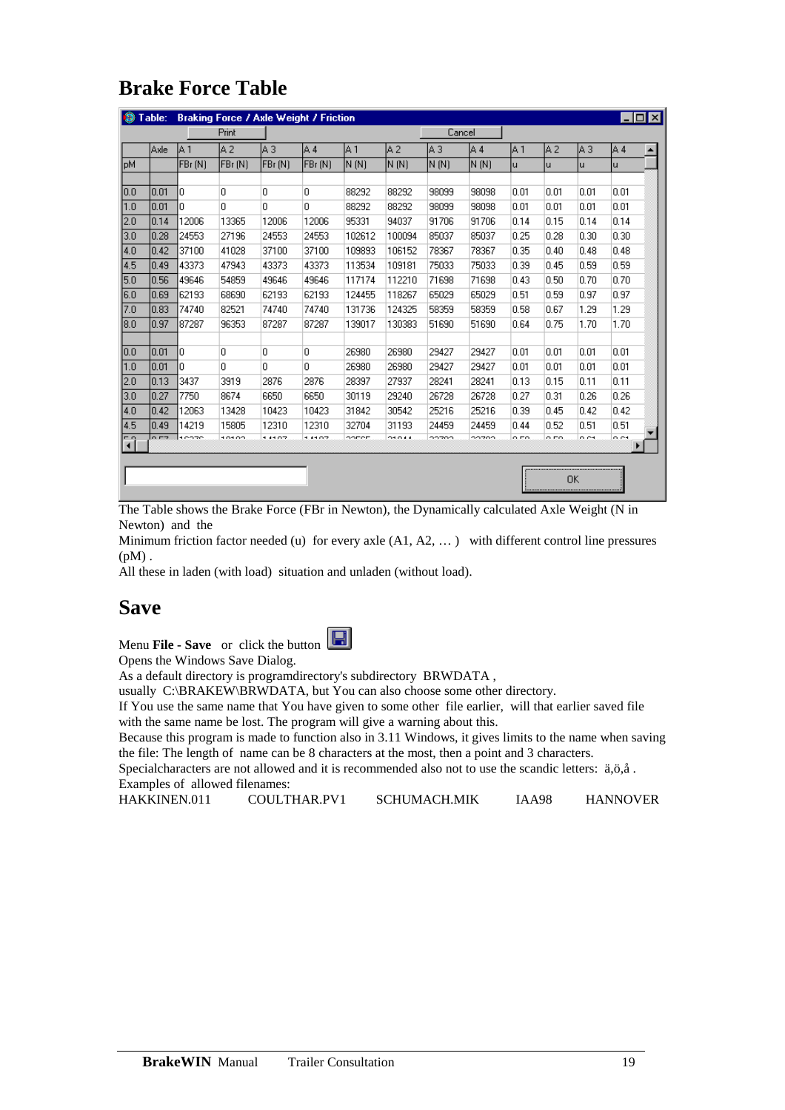# **Brake Force Table**

|      | Table: |         | <b>Braking Force / Axle Weight / Friction</b> |           |          |        |                 |        |        |      |      |      |      | $ \Box$ $\times$ $\Box$ |
|------|--------|---------|-----------------------------------------------|-----------|----------|--------|-----------------|--------|--------|------|------|------|------|-------------------------|
|      |        |         | Print                                         |           |          |        |                 | Cancel |        |      |      |      |      |                         |
|      | lAxle  | IA 1    | lA 2                                          | lA 3      | IA 4     | IA 1   | lA 2            | lA 3.  | IA 4   | IA 1 | lA 2 | lАЗ  | IA 4 | $\blacktriangle$        |
| lpM  |        | FBr (N) | FBr (N)                                       | [FBr (N)  | [FBr (N) | IN INI | N(M)            | N(M)   | IN INI | ū    | ū    | ū    | ū    |                         |
|      |        |         |                                               |           |          |        |                 |        |        |      |      |      |      |                         |
| 10.0 | 0.01   | O       | 0                                             | lo.       | 0        | 88292  | 88292           | 98099  | 98098  | 0.01 | 0.01 | 0.01 | 0.01 |                         |
| 1.0  | 0.01   | ۵       | 0                                             | lo.       | O.       | 88292  | 88292           | 98099  | 98098  | 0.01 | 0.01 | 0.01 | 0.01 |                         |
| 2.0  | 0.14   | 12006   | 13365                                         | 12006     | 12006    | 95331  | 94037           | 91706  | 91706  | 0.14 | 0.15 | 0.14 | 0.14 |                         |
| 3.0  | 0.28   | 24553   | 27196                                         | 24553     | 24553    | 102612 | 100094          | 85037  | 85037  | 0.25 | 0.28 | 0.30 | 0.30 |                         |
| 4.0  | 0.42   | 37100   | 41028                                         | 37100     | 37100    | 109893 | 106152          | 78367  | 78367  | 0.35 | 0.40 | 0.48 | 0.48 |                         |
| 4.5  | 0.49   | 43373   | 47943                                         | 43373     | 43373    | 113534 | 109181          | 75033  | 75033  | 0.39 | 0.45 | 0.59 | 0.59 |                         |
| 15.0 | 0.56   | 49646   | 54859                                         | 49646     | 49646    | 117174 | 112210          | 71698  | 71698  | 0.43 | 0.50 | 0.70 | 0.70 |                         |
| 16.O | 10.69  | 62193   | 68690                                         | 62193     | 62193    | 124455 | 118267          | 65029  | 65029  | 0.51 | 0.59 | 0.97 | 0.97 |                         |
| 7.0  | 0.83   | 74740   | 82521                                         | 74740     | 74740    | 131736 | 124325          | 58359  | 58359  | 0.58 | 0.67 | 1.29 | 1.29 |                         |
| 18.0 | 0.97   | 87287   | 96353                                         | 87287     | 87287    | 139017 | 130383          | 51690  | 51690  | 0.64 | 0.75 | 1.70 | 1.70 |                         |
|      |        |         |                                               |           |          |        |                 |        |        |      |      |      |      |                         |
| 10.0 | 0.01   | ln      | 0                                             | IO.       | O.       | 26980  | 26980           | 29427  | 29427  | 0.01 | 0.01 | 0.01 | 0.01 |                         |
| 1.0  | 0.01   | 0       | 0                                             | lo.       | 0        | 26980  | 26980           | 29427  | 29427  | 0.01 | 0.01 | 0.01 | 0.01 |                         |
| 2.0  | 0.13   | 3437    | 3919                                          | 2876      | 2876     | 28397  | 27937           | 28241  | 28241  | 0.13 | 0.15 | 0.11 | 0.11 |                         |
| 3.0  | 0.27   | 7750    | 8674                                          | 6650      | 6650     | 30119  | 29240           | 26728  | 26728  | 0.27 | 0.31 | 0.26 | 0.26 |                         |
| 14.0 | 10.42  | 12063   | 13428                                         | 10423     | 10423    | 31842  | 30542           | 25216  | 25216  | 0.39 | 0.45 | 0.42 | 0.42 |                         |
| 4.5  | 0.49   | 14219   | 15805                                         | 12310     | 12310    | 32704  | 31193           | 24459  | 24459  | 0.44 | 0.52 | 0.51 | 0.51 |                         |
| नि   | 0.57   | 10070   | 10100                                         | - - - - - | 4.44.07  | oonen  | <b>OH O 4 4</b> | oozoo  | oozoo  | o no | o no | o es | o es |                         |
|      |        |         |                                               |           |          |        |                 |        |        |      |      |      |      |                         |
|      |        |         |                                               |           |          |        |                 |        |        |      |      |      |      |                         |
|      |        |         |                                               |           |          |        |                 |        |        |      |      | OΚ   |      |                         |

The Table shows the Brake Force (FBr in Newton), the Dynamically calculated Axle Weight (N in Newton) and the

Minimum friction factor needed (u) for every axle (A1, A2, ...) with different control line pressures  $(pM)$ .

All these in laden (with load) situation and unladen (without load).

#### **Save**

Menu **File - Save** or click the button

Opens the Windows Save Dialog.

As a default directory is programdirectory's subdirectory BRWDATA ,

usually C:\BRAKEW\BRWDATA, but You can also choose some other directory.

If You use the same name that You have given to some other file earlier, will that earlier saved file with the same name be lost. The program will give a warning about this.

Because this program is made to function also in 3.11 Windows, it gives limits to the name when saving the file: The length of name can be 8 characters at the most, then a point and 3 characters.

Specialcharacters are not allowed and it is recommended also not to use the scandic letters: ä,ö,å . Examples of allowed filenames:

HAKKINEN.011 COULTHAR.PV1 SCHUMACH.MIK IAA98 HANNOVER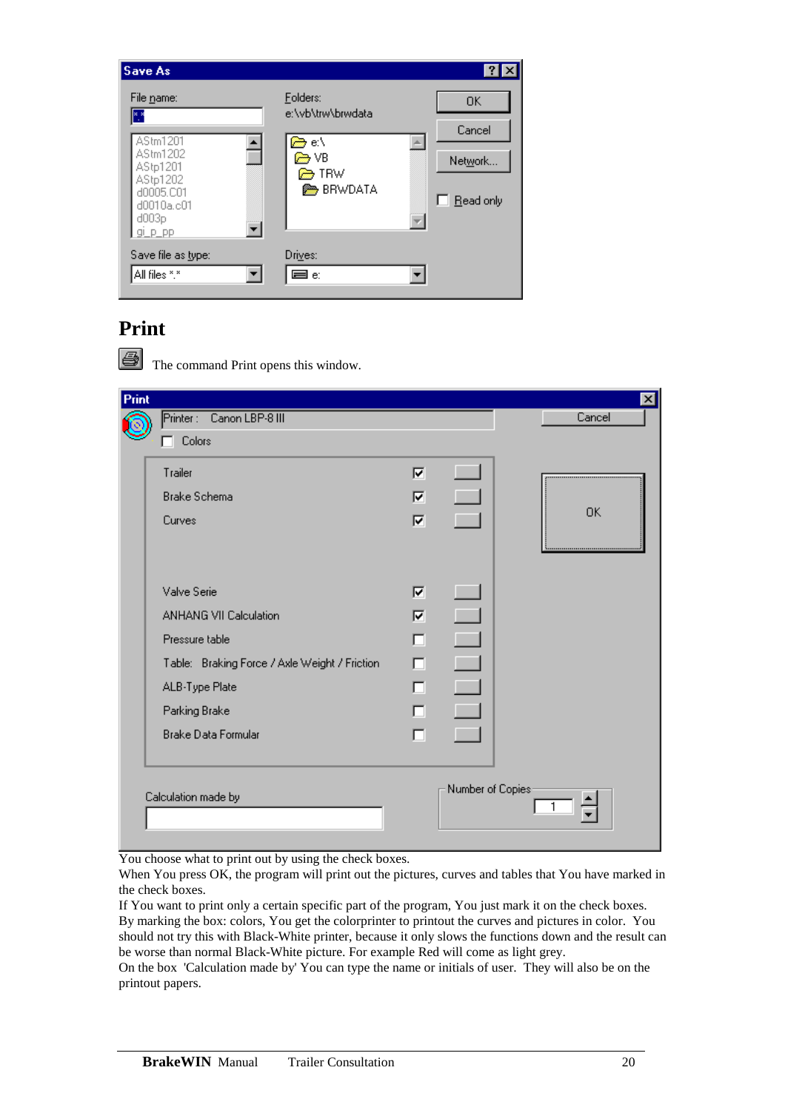

#### **Print**

|    | _ |  |
|----|---|--|
| __ |   |  |
|    |   |  |
|    |   |  |

The command Print opens this window.

| Print |                                               |   |                   | $\mathbf{x}$ |
|-------|-----------------------------------------------|---|-------------------|--------------|
|       | Printer: Canon LBP-8 III                      |   |                   | Cancel       |
|       | $\Box$ Colors                                 |   |                   |              |
|       | Trailer                                       | ⊽ | <b>Tarif</b>      |              |
|       | <b>Brake Schema</b>                           | ⊽ | $\Box$            |              |
|       | Curves                                        | ⊽ | $\Box$            | 0K           |
|       |                                               |   |                   |              |
|       | Valve Serie                                   | ⊽ | <b>C</b>          |              |
|       | <b>ANHANG VII Calculation</b>                 | ⊽ | $\Box$            |              |
|       | Pressure table                                | п | С.                |              |
|       | Table: Braking Force / Axle Weight / Friction | п | $\blacklozenge$   |              |
|       | ALB-Type Plate                                | □ | $\blacklozenge$   |              |
|       | Parking Brake                                 | □ | $\Box$            |              |
|       | <b>Brake Data Formular</b>                    | D | <b>The State</b>  |              |
|       |                                               |   |                   |              |
|       | Calculation made by                           |   | Number of Copies: |              |
|       |                                               |   |                   |              |
|       |                                               |   |                   |              |

You choose what to print out by using the check boxes.

When You press OK, the program will print out the pictures, curves and tables that You have marked in the check boxes.

If You want to print only a certain specific part of the program, You just mark it on the check boxes. By marking the box: colors, You get the colorprinter to printout the curves and pictures in color. You should not try this with Black-White printer, because it only slows the functions down and the result can be worse than normal Black-White picture. For example Red will come as light grey.

On the box 'Calculation made by' You can type the name or initials of user. They will also be on the printout papers.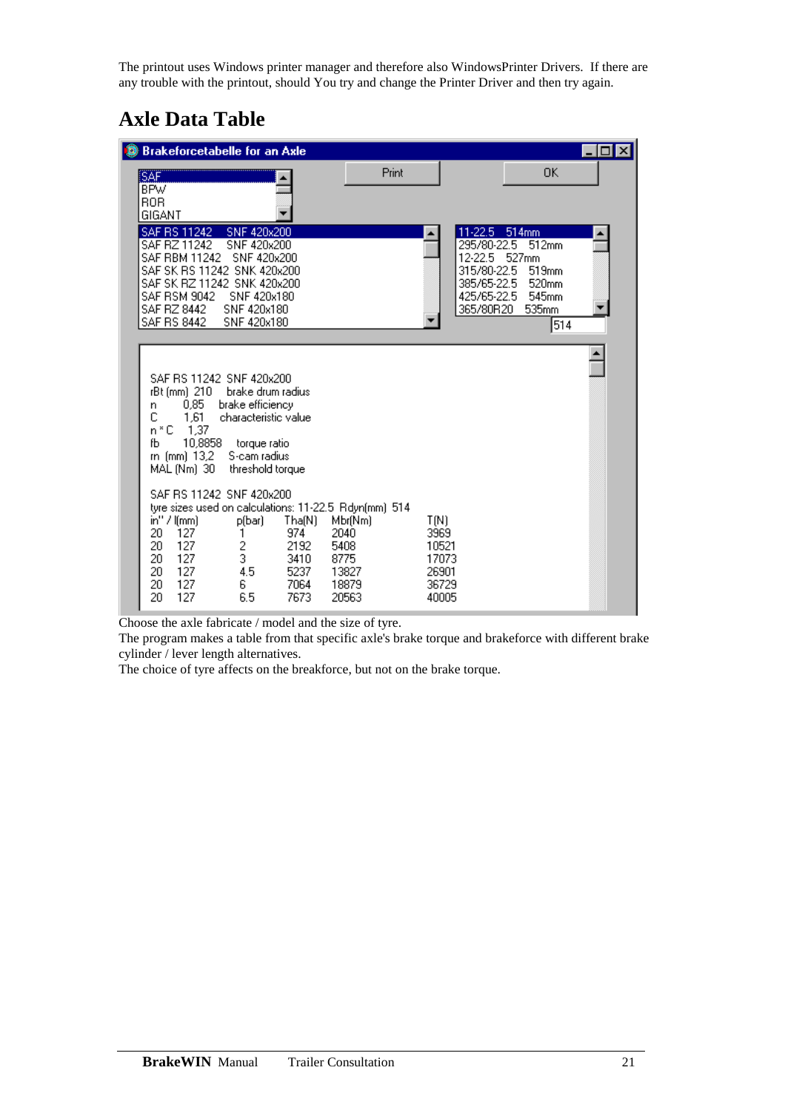The printout uses Windows printer manager and therefore also WindowsPrinter Drivers. If there are any trouble with the printout, should You try and change the Printer Driver and then try again.

# **Axle Data Table**

| <b>Brakeforcetabelle for an Axle</b>                                                                                                                                                                                                                                                                                                                                                                                                                                                                                                                                |                                                                                                                         | $\Box$ ol $\times$                                                                                                                                                                          |  |
|---------------------------------------------------------------------------------------------------------------------------------------------------------------------------------------------------------------------------------------------------------------------------------------------------------------------------------------------------------------------------------------------------------------------------------------------------------------------------------------------------------------------------------------------------------------------|-------------------------------------------------------------------------------------------------------------------------|---------------------------------------------------------------------------------------------------------------------------------------------------------------------------------------------|--|
| SAF.<br><b>BPW</b><br><b>ROR</b><br>GIGANT                                                                                                                                                                                                                                                                                                                                                                                                                                                                                                                          | Print                                                                                                                   | 0K                                                                                                                                                                                          |  |
| SAF RS 11242<br>SNF 420x200<br>SNF 420x200<br>SAF RZ 11242<br><b>SAF RBM 11242</b><br>SNF 420x200<br>SAF SK RS 11242 SNK 420x200<br>SAF SK RZ 11242 SNK 420x200<br><b>SAF RSM 9042</b><br>SNF 420x180<br>SAF RZ 8442<br>SNF 420x180<br>SAF RS 8442<br>SNF 420x180                                                                                                                                                                                                                                                                                                   |                                                                                                                         | $11-22.5$<br>514mm<br>295/80-22.5<br>512mm<br>12-22.5<br>527mm<br>315/80-22.5<br>519 <sub>mm</sub><br>385/65-22.5<br>520mm<br>425/65-22.5<br>545 <sub>mm</sub><br>365/80R20<br>535mm<br>514 |  |
| SAF RS 11242 SNF 420x200<br>rBt (mm) 210<br>brake drum radius<br>$0.85 -$<br>brake efficiency<br>n<br>C<br>1.61<br>characteristic value<br>n * C<br>1,37<br>10,8858<br>fЬ<br>torque ratio<br>m (mm) 13,2<br>S-cam radius<br>MAL (Nm) 30<br>threshold torque<br>SAF RS 11242 SNF 420x200<br>tyre sizes used on calculations: 11-22.5 Rdyn(mm) 514<br>$in''$ / $l$ (mm)<br>$\mathsf{Tha(N)}$<br>p(bar)<br>20<br>127<br>974<br>1<br>2<br>20<br>2192<br>127<br>3<br>20<br>3410<br>127<br>20<br>4.5<br>127<br>5237<br>20<br>127<br>6<br>7064<br>20<br>127<br>6.5<br>7673 | T(N)<br>Mbr(Nm)<br>3969<br>2040<br>5408<br>10521<br>8775<br>17073<br>13827<br>26901<br>18879<br>36729<br>20563<br>40005 |                                                                                                                                                                                             |  |

Choose the axle fabricate / model and the size of tyre.

The program makes a table from that specific axle's brake torque and brakeforce with different brake cylinder / lever length alternatives.

The choice of tyre affects on the breakforce, but not on the brake torque.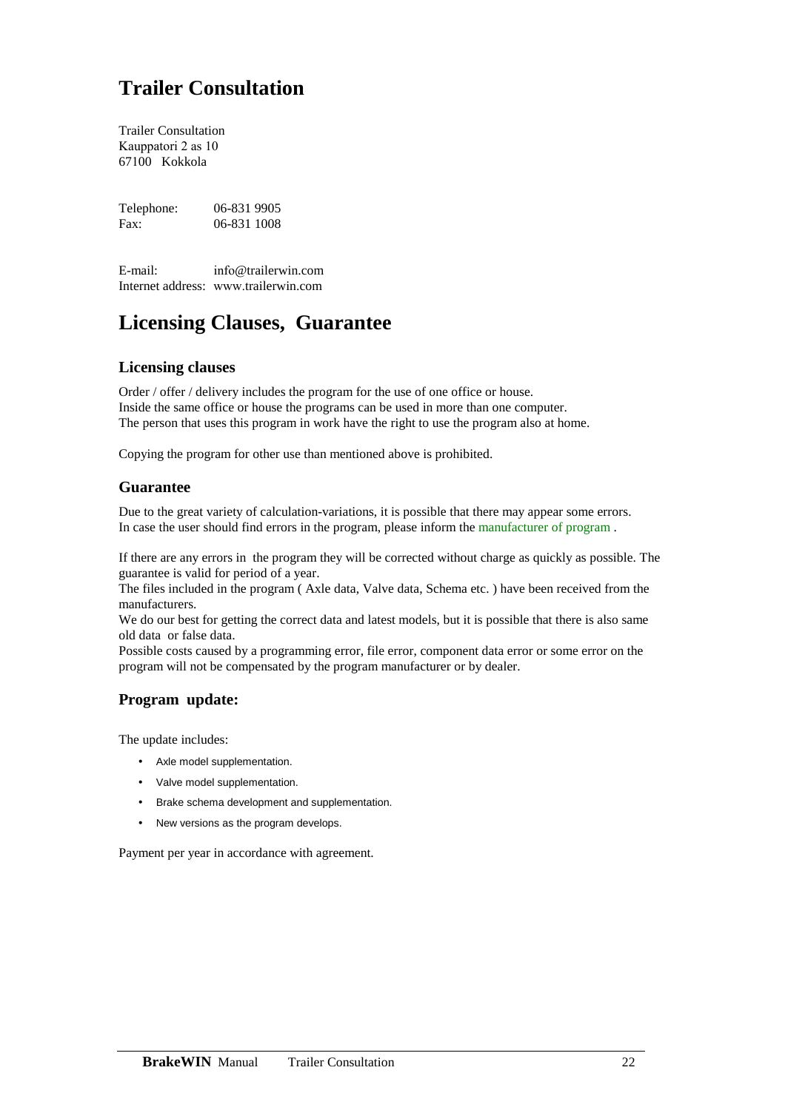# **Trailer Consultation**

Trailer Consultation Kauppatori 2 as 10 67100 Kokkola

Telephone: 06-831 9905 Fax: 06-831 1008

E-mail: info@trailerwin.com Internet address: www.trailerwin.com

## **Licensing Clauses, Guarantee**

#### **Licensing clauses**

Order / offer / delivery includes the program for the use of one office or house. Inside the same office or house the programs can be used in more than one computer. The person that uses this program in work have the right to use the program also at home.

Copying the program for other use than mentioned above is prohibited.

#### **Guarantee**

Due to the great variety of calculation-variations, it is possible that there may appear some errors. In case the user should find errors in the program, please inform the manufacturer of program .

If there are any errors in the program they will be corrected without charge as quickly as possible. The guarantee is valid for period of a year.

The files included in the program ( Axle data, Valve data, Schema etc. ) have been received from the manufacturers.

We do our best for getting the correct data and latest models, but it is possible that there is also same old data or false data.

Possible costs caused by a programming error, file error, component data error or some error on the program will not be compensated by the program manufacturer or by dealer.

#### **Program update:**

The update includes:

- Axle model supplementation.
- Valve model supplementation.
- Brake schema development and supplementation.
- New versions as the program develops.

Payment per year in accordance with agreement.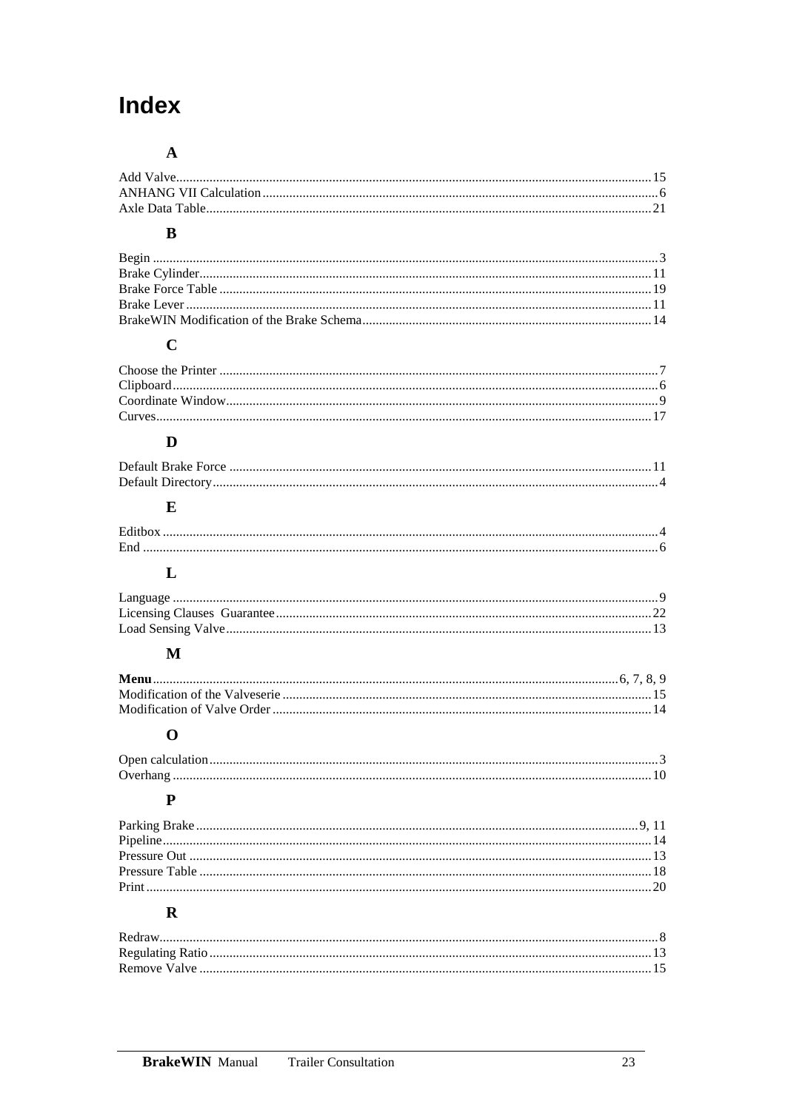# Index

#### $\mathbf{A}$

#### $\mathbf{B}$

### $\mathbf C$

### $\mathbf{D}$

### $\mathbf E$

| End |  |
|-----|--|
|     |  |

### $\mathbf{L}$

#### $\mathbf{M}$

### $\mathbf 0$

### $\overline{\mathbf{P}}$

### $\mathbf R$